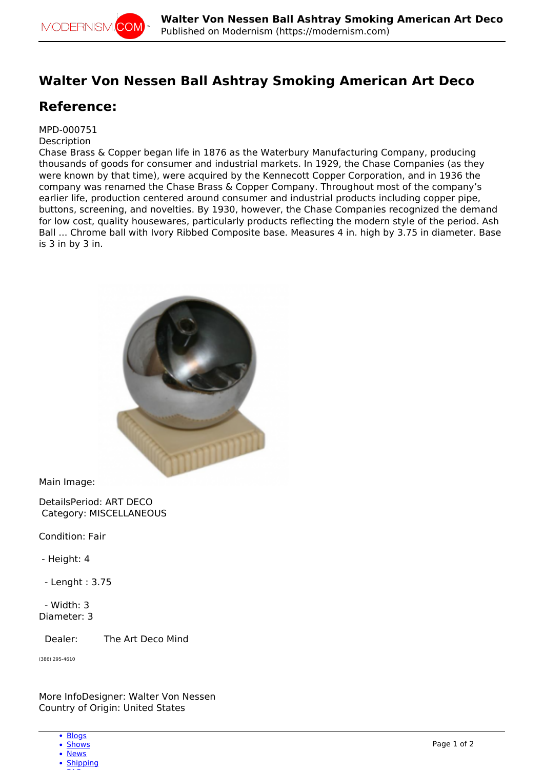## **Walter Von Nessen Ball Ashtray Smoking American Art Deco**

## **Reference:**

## MPD-000751

## **Description**

Chase Brass & Copper began life in 1876 as the Waterbury Manufacturing Company, producing thousands of goods for consumer and industrial markets. In 1929, the Chase Companies (as they were known by that time), were acquired by the Kennecott Copper Corporation, and in 1936 the company was renamed the Chase Brass & Copper Company. Throughout most of the company's earlier life, production centered around consumer and industrial products including copper pipe, buttons, screening, and novelties. By 1930, however, the Chase Companies recognized the demand for low cost, quality housewares, particularly products reflecting the modern style of the period. Ash Ball ... Chrome ball with Ivory Ribbed Composite base. Measures 4 in. high by 3.75 in diameter. Base is 3 in by 3 in.



Main Image:

DetailsPeriod: ART DECO Category: MISCELLANEOUS

Condition: Fair

- Height: 4

- Lenght : 3.75

 - Width: 3 Diameter: 3

Dealer: The Art Deco Mind

(386) 295-4610

More InfoDesigner: Walter Von Nessen Country of Origin: United States

- [Blogs](http://modernism.com/blog)
- [Shows](http://modernism.com/show) • [News](http://modernism.com/articles)
- 
- [Shipping](https://modernism.com/modernism/how-ship-your-items)  $-$